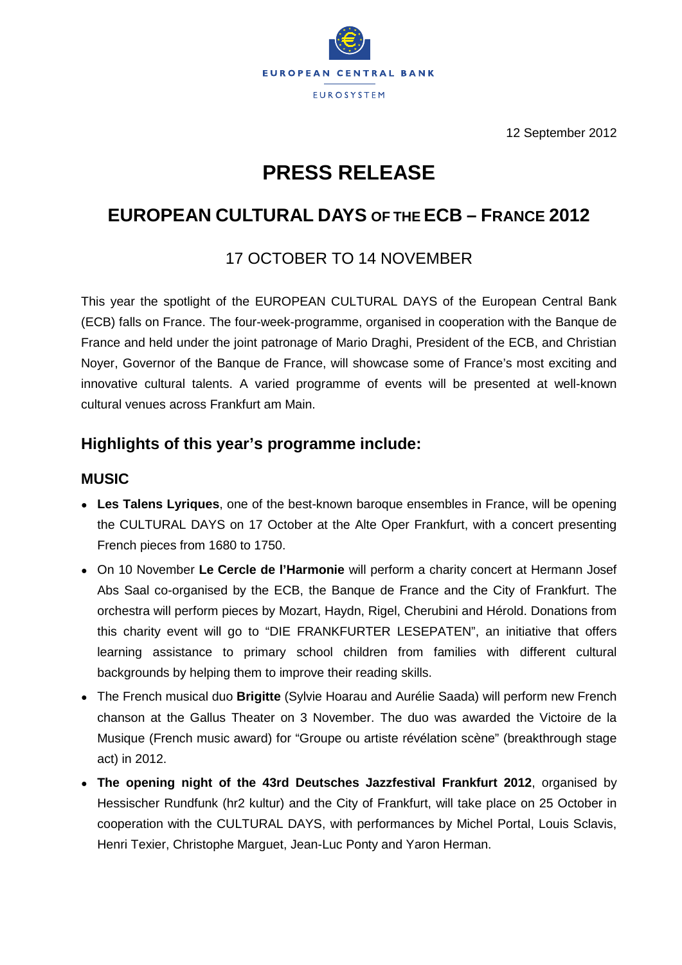

12 September 2012

# **PRESS RELEASE**

## **EUROPEAN CULTURAL DAYS OF THE ECB – FRANCE 2012**

### 17 OCTOBER TO 14 NOVEMBER

This year the spotlight of the EUROPEAN CULTURAL DAYS of the European Central Bank (ECB) falls on France. The four-week-programme, organised in cooperation with the Banque de France and held under the joint patronage of Mario Draghi, President of the ECB, and Christian Noyer, Governor of the Banque de France, will showcase some of France's most exciting and innovative cultural talents. A varied programme of events will be presented at well-known cultural venues across Frankfurt am Main.

### **Highlights of this year's programme include:**

#### **MUSIC**

- **Les Talens Lyriques**, one of the best-known baroque ensembles in France, will be opening the CULTURAL DAYS on 17 October at the Alte Oper Frankfurt, with a concert presenting French pieces from 1680 to 1750.
- On 10 November **Le Cercle de l'Harmonie** will perform a charity concert at Hermann Josef Abs Saal co-organised by the ECB, the Banque de France and the City of Frankfurt. The orchestra will perform pieces by Mozart, Haydn, Rigel, Cherubini and Hérold. Donations from this charity event will go to "DIE FRANKFURTER LESEPATEN", an initiative that offers learning assistance to primary school children from families with different cultural backgrounds by helping them to improve their reading skills.
- The French musical duo **Brigitte** (Sylvie Hoarau and Aurélie Saada) will perform new French chanson at the Gallus Theater on 3 November. The duo was awarded the Victoire de la Musique (French music award) for "Groupe ou artiste révélation scène" (breakthrough stage act) in 2012.
- The opening night of the 43rd Deutsches Jazzfestival Frankfurt 2012, organised by Hessischer Rundfunk (hr2 kultur) and the City of Frankfurt, will take place on 25 October in cooperation with the CULTURAL DAYS, with performances by Michel Portal, Louis Sclavis, Henri Texier, Christophe Marguet, Jean-Luc Ponty and Yaron Herman.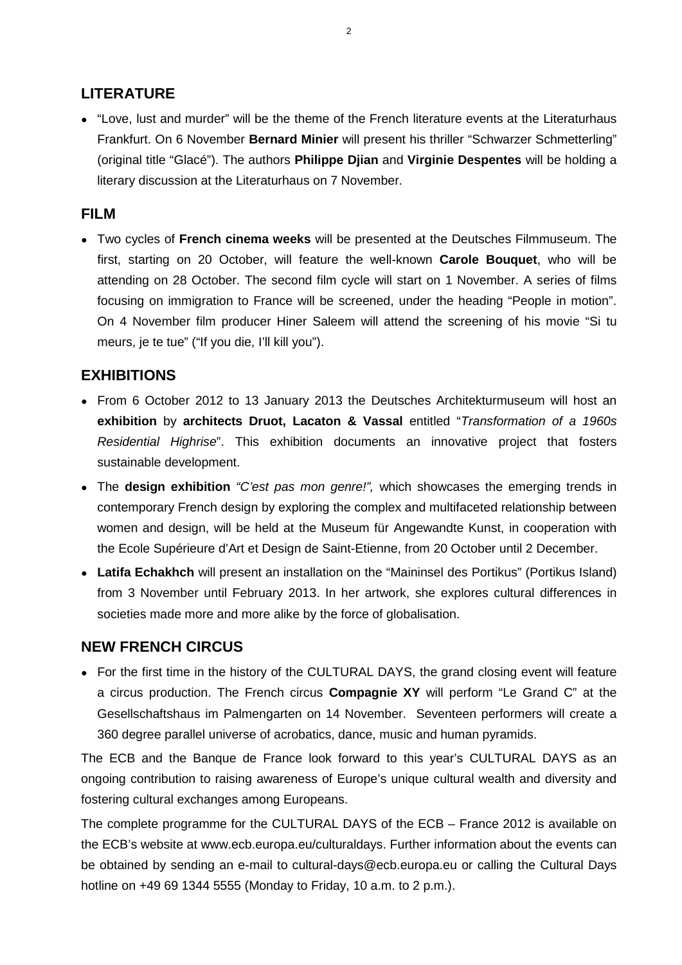#### **LITERATURE**

● "Love, lust and murder" will be the theme of the French literature events at the Literaturhaus Frankfurt. On 6 November **Bernard Minier** will present his thriller "Schwarzer Schmetterling" (original title "Glacé"). The authors **Philippe Djian** and **Virginie Despentes** will be holding a literary discussion at the Literaturhaus on 7 November.

#### **FILM**

● Two cycles of **French cinema weeks** will be presented at the Deutsches Filmmuseum. The first, starting on 20 October, will feature the well-known **Carole Bouquet**, who will be attending on 28 October. The second film cycle will start on 1 November. A series of films focusing on immigration to France will be screened, under the heading "People in motion". On 4 November film producer Hiner Saleem will attend the screening of his movie "Si tu meurs, je te tue" ("If you die, I'll kill you").

#### **EXHIBITIONS**

- From 6 October 2012 to 13 January 2013 the Deutsches Architekturmuseum will host an **exhibition** by **architects Druot, Lacaton & Vassal** entitled "*Transformation of a 1960s Residential Highrise*". This exhibition documents an innovative project that fosters sustainable development.
- The **design exhibition** *"C'est pas mon genre!",* which showcases the emerging trends in contemporary French design by exploring the complex and multifaceted relationship between women and design, will be held at the Museum für Angewandte Kunst, in cooperation with the Ecole Supérieure d'Art et Design de Saint-Etienne, from 20 October until 2 December.
- Latifa Echakhch will present an installation on the "Maininsel des Portikus" (Portikus Island) from 3 November until February 2013. In her artwork, she explores cultural differences in societies made more and more alike by the force of globalisation.

#### **NEW FRENCH CIRCUS**

• For the first time in the history of the CULTURAL DAYS, the grand closing event will feature a circus production. The French circus **Compagnie XY** will perform "Le Grand C" at the Gesellschaftshaus im Palmengarten on 14 November. Seventeen performers will create a 360 degree parallel universe of acrobatics, dance, music and human pyramids.

The ECB and the Banque de France look forward to this year's CULTURAL DAYS as an ongoing contribution to raising awareness of Europe's unique cultural wealth and diversity and fostering cultural exchanges among Europeans.

The complete programme for the CULTURAL DAYS of the ECB – France 2012 is available on the ECB's website at www.ecb.europa.eu/culturaldays. Further information about the events can be obtained by sending an e-mail to cultural-days@ecb.europa.eu or calling the Cultural Days hotline on +49 69 1344 5555 (Monday to Friday, 10 a.m. to 2 p.m.).